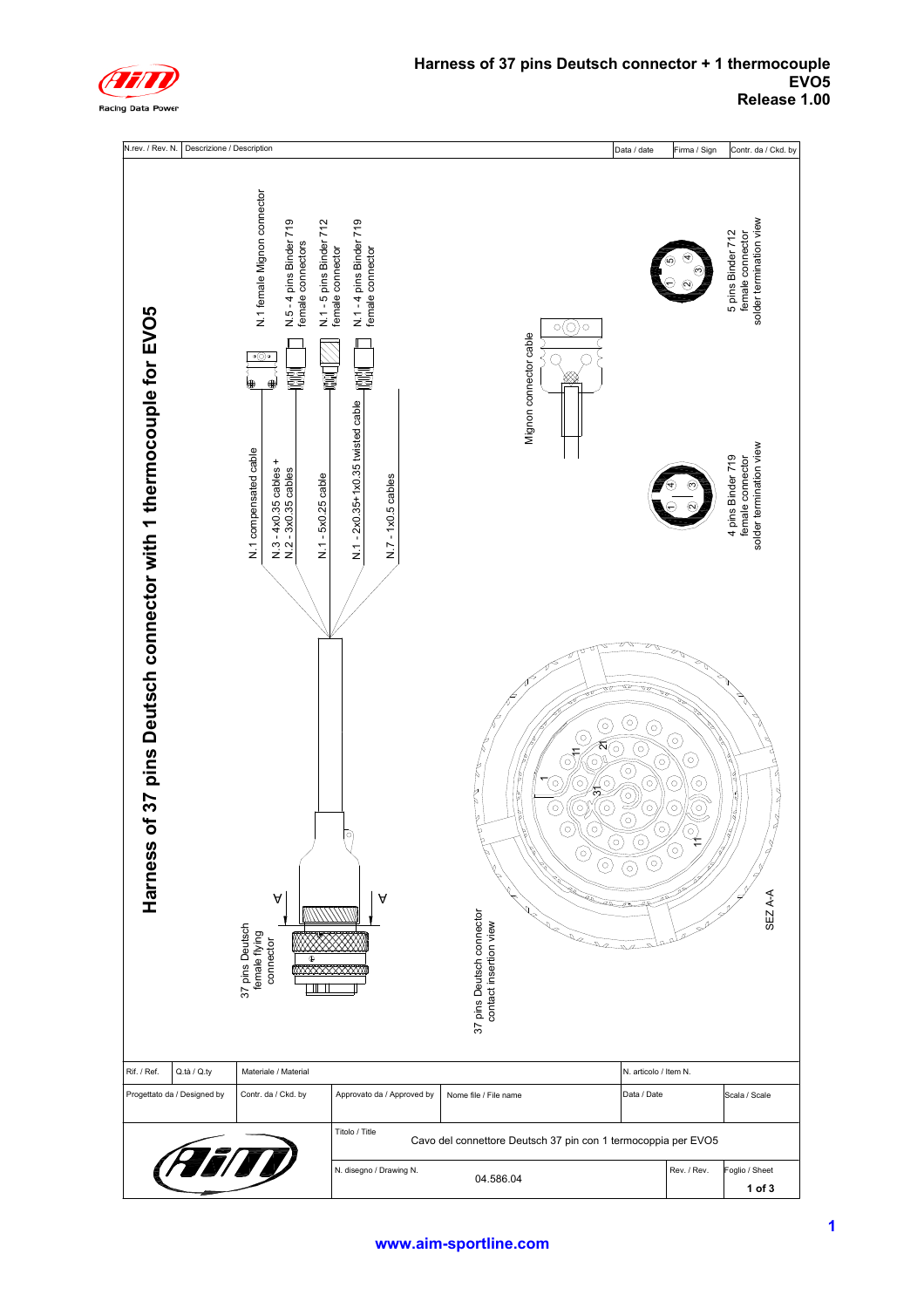

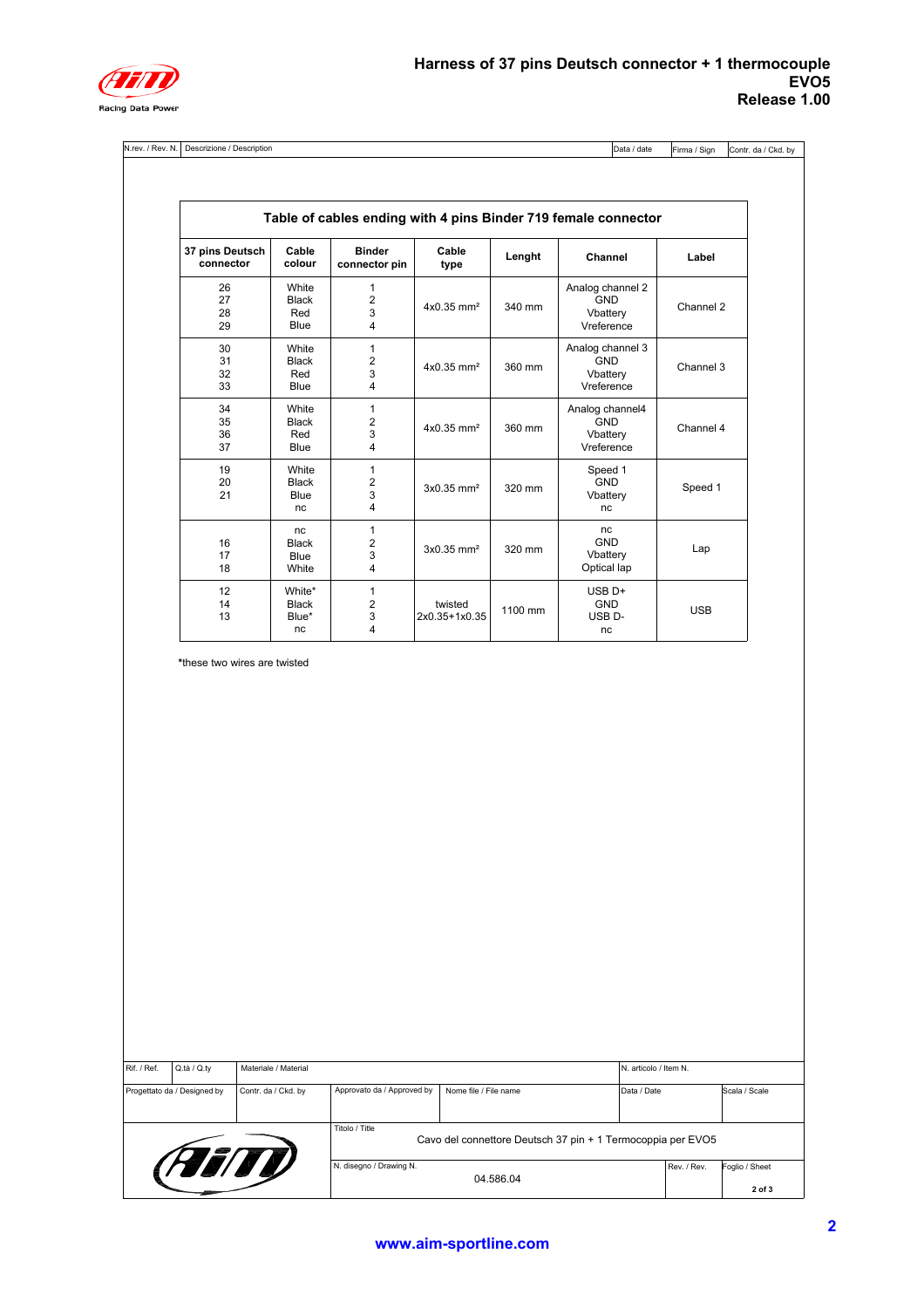

N.rev. / Rev. N. Descrizione / Description Data / date

Firma / Sign Contr. da / Ckd. by

| Table of cables ending with 4 pins Binder 719 female connector |                                       |                                |                                                                                                                                                                                                                 |         |                                                          |            |
|----------------------------------------------------------------|---------------------------------------|--------------------------------|-----------------------------------------------------------------------------------------------------------------------------------------------------------------------------------------------------------------|---------|----------------------------------------------------------|------------|
| 37 pins Deutsch<br>connector                                   | Cable<br>colour                       | <b>Binder</b><br>connector pin | Cable<br>type                                                                                                                                                                                                   | Lenght  | Channel                                                  | Label      |
| 26<br>27<br>28<br>29                                           | White<br>Black<br>Red<br>Blue         | 1<br>$\overline{2}$<br>3<br>4  | $4x0.35$ mm <sup>2</sup>                                                                                                                                                                                        | 340 mm  | Analog channel 2<br><b>GND</b><br>Vbattery<br>Vreference | Channel 2  |
| 30<br>31<br>32<br>33                                           | White<br>Black<br>Red<br>Blue         | 1<br>$\overline{2}$<br>3<br>4  | $4x0.35$ mm <sup>2</sup>                                                                                                                                                                                        | 360 mm  | Analog channel 3<br><b>GND</b><br>Vbattery<br>Vreference | Channel 3  |
| 34<br>35<br>36<br>37                                           | White<br>Black<br>Red<br>Blue         | 1<br>$\overline{2}$<br>3<br>4  | Analog channel4<br><b>GND</b><br>$4x0.35$ mm <sup>2</sup><br>360 mm<br>Vbattery<br>Vreference<br>1<br>Speed 1<br>$\overline{2}$<br><b>GND</b><br>$3x0.35$ mm <sup>2</sup><br>320 mm<br>3<br>Vbattery<br>4<br>nc |         | Channel 4                                                |            |
| 19<br>20<br>21                                                 | White<br>Black<br>Blue<br>nc          |                                |                                                                                                                                                                                                                 |         | Speed 1                                                  |            |
| 16<br>17<br>18                                                 | nc<br><b>Black</b><br>Blue<br>White   | 1<br>$\overline{2}$<br>3<br>4  | $3x0.35$ mm <sup>2</sup>                                                                                                                                                                                        | 320 mm  | nc<br><b>GND</b><br>Vbattery<br>Optical lap              | Lap        |
| 12<br>14<br>13                                                 | White*<br><b>Black</b><br>Blue*<br>nc | 1<br>$\overline{2}$<br>3<br>4  | twisted<br>2x0.35+1x0.35                                                                                                                                                                                        | 1100 mm | $USB$ D+<br><b>GND</b><br>USB <sub>D</sub> -<br>nc       | <b>USB</b> |

**\***these two wires are twisted

| Rif. / Ref.                                        | Q.tà / Q.ty | Materiale / Material       |                                                                               |             |             |                          | N. articolo / Item N. |  |  |
|----------------------------------------------------|-------------|----------------------------|-------------------------------------------------------------------------------|-------------|-------------|--------------------------|-----------------------|--|--|
| Contr. da / Ckd. by<br>Progettato da / Designed by |             | Approvato da / Approved by | Nome file / File name                                                         | Data / Date |             | Scala / Scale            |                       |  |  |
|                                                    |             |                            | Titolo / Title<br>Cavo del connettore Deutsch 37 pin + 1 Termocoppia per EVO5 |             |             |                          |                       |  |  |
| (FEITI)                                            |             | N. disegno / Drawing N.    | 04.586.04                                                                     |             | Rev. / Rev. | Foglio / Sheet<br>2 of 3 |                       |  |  |